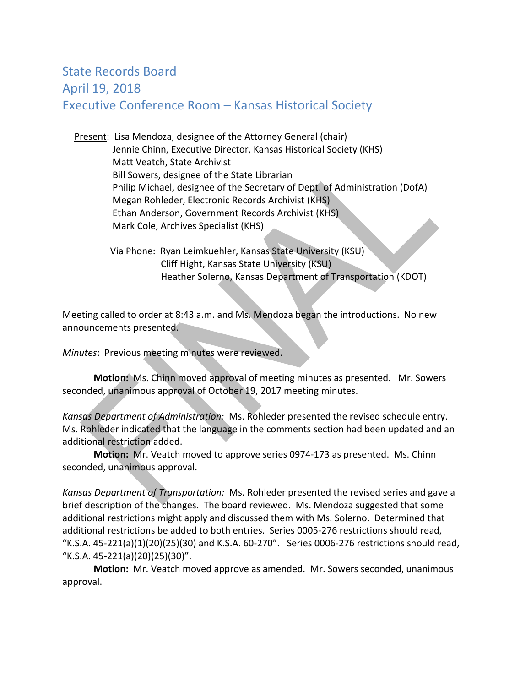## State Records Board April 19, 2018 Executive Conference Room – Kansas Historical Society

 Present: Lisa Mendoza, designee of the Attorney General (chair) Jennie Chinn, Executive Director, Kansas Historical Society (KHS) Matt Veatch, State Archivist Bill Sowers, designee of the State Librarian Philip Michael, designee of the Secretary of Dept. of Administration (DofA) Megan Rohleder, Electronic Records Archivist (KHS) Ethan Anderson, Government Records Archivist (KHS) Mark Cole, Archives Specialist (KHS)

 Via Phone: Ryan Leimkuehler, Kansas State University (KSU) Cliff Hight, Kansas State University (KSU) Heather Solerno, Kansas Department of Transportation (KDOT)

Meeting called to order at 8:43 a.m. and Ms. Mendoza began the introductions. No new announcements presented.

*Minutes*: Previous meeting minutes were reviewed.

 **Motion:** Ms. Chinn moved approval of meeting minutes as presented. Mr. Sowers seconded, unanimous approval of October 19, 2017 meeting minutes.

*Kansas Department of Administration:* Ms. Rohleder presented the revised schedule entry. Ms. Rohleder indicated that the language in the comments section had been updated and an additional restriction added.

**Motion:** Mr. Veatch moved to approve series 0974-173 as presented. Ms. Chinn seconded, unanimous approval.

*Kansas Department of Transportation:* Ms. Rohleder presented the revised series and gave a brief description of the changes. The board reviewed. Ms. Mendoza suggested that some additional restrictions might apply and discussed them with Ms. Solerno. Determined that additional restrictions be added to both entries. Series 0005-276 restrictions should read, "K.S.A. 45-221(a)(1)(20)(25)(30) and K.S.A. 60-270". Series 0006-276 restrictions should read, "K.S.A. 45-221(a)(20)(25)(30)".

**Motion:** Mr. Veatch moved approve as amended. Mr. Sowers seconded, unanimous approval.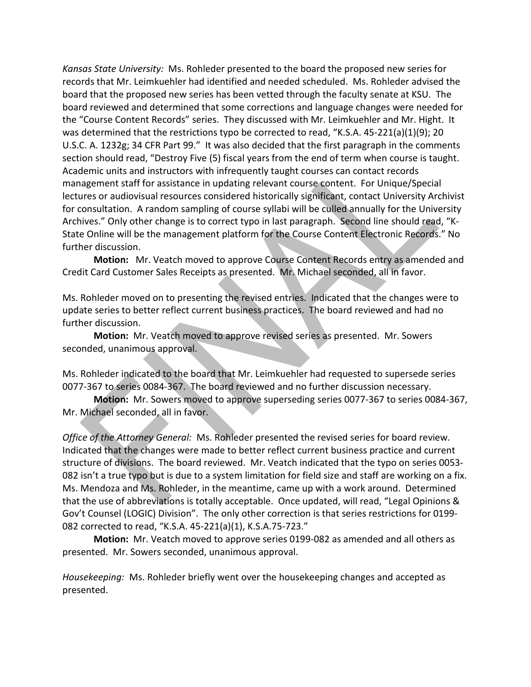*Kansas State University:* Ms. Rohleder presented to the board the proposed new series for records that Mr. Leimkuehler had identified and needed scheduled. Ms. Rohleder advised the board that the proposed new series has been vetted through the faculty senate at KSU. The board reviewed and determined that some corrections and language changes were needed for the "Course Content Records" series. They discussed with Mr. Leimkuehler and Mr. Hight. It was determined that the restrictions typo be corrected to read, "K.S.A. 45-221(a)(1)(9); 20 U.S.C. A. 1232g; 34 CFR Part 99." It was also decided that the first paragraph in the comments section should read, "Destroy Five (5) fiscal years from the end of term when course is taught. Academic units and instructors with infrequently taught courses can contact records management staff for assistance in updating relevant course content. For Unique/Special lectures or audiovisual resources considered historically significant, contact University Archivist for consultation. A random sampling of course syllabi will be culled annually for the University Archives." Only other change is to correct typo in last paragraph. Second line should read, "K-State Online will be the management platform for the Course Content Electronic Records." No further discussion.

**Motion:** Mr. Veatch moved to approve Course Content Records entry as amended and Credit Card Customer Sales Receipts as presented. Mr. Michael seconded, all in favor.

Ms. Rohleder moved on to presenting the revised entries. Indicated that the changes were to update series to better reflect current business practices. The board reviewed and had no further discussion.

**Motion:** Mr. Veatch moved to approve revised series as presented. Mr. Sowers seconded, unanimous approval.

Ms. Rohleder indicated to the board that Mr. Leimkuehler had requested to supersede series 0077-367 to series 0084-367. The board reviewed and no further discussion necessary.

**Motion:** Mr. Sowers moved to approve superseding series 0077-367 to series 0084-367, Mr. Michael seconded, all in favor.

*Office of the Attorney General:* Ms. Rohleder presented the revised series for board review. Indicated that the changes were made to better reflect current business practice and current structure of divisions. The board reviewed. Mr. Veatch indicated that the typo on series 0053- 082 isn't a true typo but is due to a system limitation for field size and staff are working on a fix. Ms. Mendoza and Ms. Rohleder, in the meantime, came up with a work around. Determined that the use of abbreviations is totally acceptable. Once updated, will read, "Legal Opinions & Gov't Counsel (LOGIC) Division". The only other correction is that series restrictions for 0199- 082 corrected to read, "K.S.A. 45-221(a)(1), K.S.A.75-723."

**Motion:** Mr. Veatch moved to approve series 0199-082 as amended and all others as presented. Mr. Sowers seconded, unanimous approval.

*Housekeeping:* Ms. Rohleder briefly went over the housekeeping changes and accepted as presented.